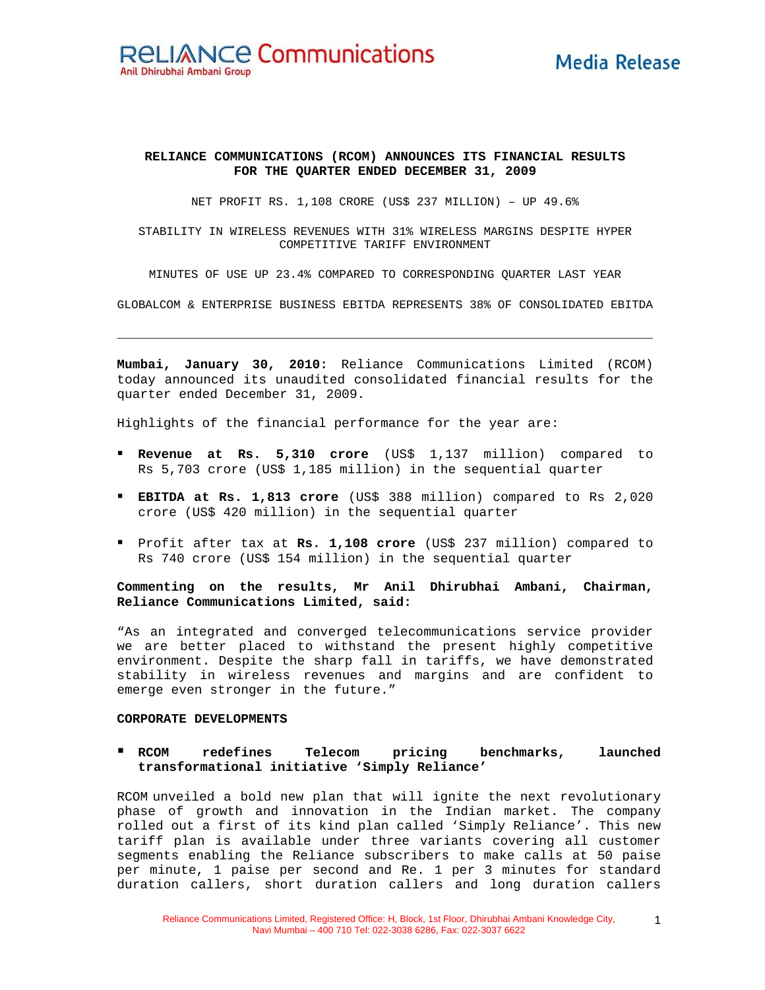# **Media Release**

### **RELIANCE COMMUNICATIONS (RCOM) ANNOUNCES ITS FINANCIAL RESULTS FOR THE QUARTER ENDED DECEMBER 31, 2009**

NET PROFIT RS. 1,108 CRORE (US\$ 237 MILLION) – UP 49.6%

STABILITY IN WIRELESS REVENUES WITH 31% WIRELESS MARGINS DESPITE HYPER COMPETITIVE TARIFF ENVIRONMENT

MINUTES OF USE UP 23.4% COMPARED TO CORRESPONDING QUARTER LAST YEAR

GLOBALCOM & ENTERPRISE BUSINESS EBITDA REPRESENTS 38% OF CONSOLIDATED EBITDA

**\_\_\_\_\_\_\_\_\_\_\_\_\_\_\_\_\_\_\_\_\_\_\_\_\_\_\_\_\_\_\_\_\_\_\_\_\_\_\_\_\_\_\_\_\_\_\_\_\_\_\_\_\_\_\_\_\_\_\_\_\_\_\_\_\_\_\_\_\_\_\_\_\_\_\_\_**

**Mumbai, January 30, 2010:** Reliance Communications Limited (RCOM) today announced its unaudited consolidated financial results for the quarter ended December 31, 2009.

Highlights of the financial performance for the year are:

- **Revenue at Rs. 5,310 crore** (US\$ 1,137 million) compared to Rs 5,703 crore (US\$ 1,185 million) in the sequential quarter
- **EBITDA at Rs. 1,813 crore** (US\$ 388 million) compared to Rs 2,020 crore (US\$ 420 million) in the sequential quarter
- Profit after tax at **Rs. 1,108 crore** (US\$ 237 million) compared to Rs 740 crore (US\$ 154 million) in the sequential quarter

**Commenting on the results, Mr Anil Dhirubhai Ambani, Chairman, Reliance Communications Limited, said:** 

"As an integrated and converged telecommunications service provider we are better placed to withstand the present highly competitive environment. Despite the sharp fall in tariffs, we have demonstrated stability in wireless revenues and margins and are confident to emerge even stronger in the future."

#### **CORPORATE DEVELOPMENTS**

## **RCOM redefines Telecom pricing benchmarks, launched transformational initiative 'Simply Reliance'**

RCOM unveiled a bold new plan that will ignite the next revolutionary phase of growth and innovation in the Indian market. The company rolled out a first of its kind plan called 'Simply Reliance'. This new tariff plan is available under three variants covering all customer segments enabling the Reliance subscribers to make calls at 50 paise per minute, 1 paise per second and Re. 1 per 3 minutes for standard duration callers, short duration callers and long duration callers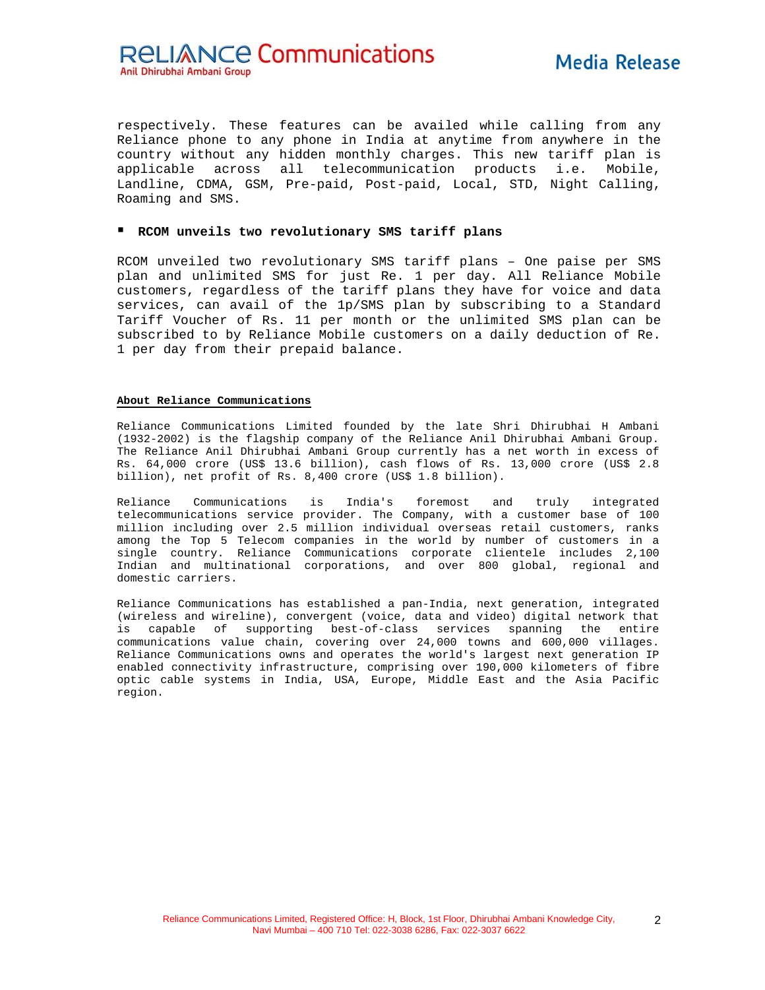**RELIANCE Communications** Anil Dhirubhai Ambani Group

respectively. These features can be availed while calling from any Reliance phone to any phone in India at anytime from anywhere in the country without any hidden monthly charges. This new tariff plan is applicable across all telecommunication products i.e. Mobile, Landline, CDMA, GSM, Pre-paid, Post-paid, Local, STD, Night Calling, Roaming and SMS.

#### **RCOM unveils two revolutionary SMS tariff plans**

RCOM unveiled two revolutionary SMS tariff plans – One paise per SMS plan and unlimited SMS for just Re. 1 per day. All Reliance Mobile customers, regardless of the tariff plans they have for voice and data services, can avail of the 1p/SMS plan by subscribing to a Standard Tariff Voucher of Rs. 11 per month or the unlimited SMS plan can be subscribed to by Reliance Mobile customers on a daily deduction of Re. 1 per day from their prepaid balance.

#### **About Reliance Communications**

Reliance Communications Limited founded by the late Shri Dhirubhai H Ambani (1932-2002) is the flagship company of the Reliance Anil Dhirubhai Ambani Group. The Reliance Anil Dhirubhai Ambani Group currently has a net worth in excess of Rs. 64,000 crore (US\$ 13.6 billion), cash flows of Rs. 13,000 crore (US\$ 2.8 billion), net profit of Rs. 8,400 crore (US\$ 1.8 billion).

Reliance Communications is India's foremost and truly integrated telecommunications service provider. The Company, with a customer base of 100 million including over 2.5 million individual overseas retail customers, ranks among the Top 5 Telecom companies in the world by number of customers in a single country. Reliance Communications corporate clientele includes 2,100 Indian and multinational corporations, and over 800 global, regional and domestic carriers.

Reliance Communications has established a pan-India, next generation, integrated (wireless and wireline), convergent (voice, data and video) digital network that is capable of supporting best-of-class services spanning the entire communications value chain, covering over 24,000 towns and 600,000 villages. Reliance Communications owns and operates the world's largest next generation IP enabled connectivity infrastructure, comprising over 190,000 kilometers of fibre optic cable systems in India, USA, Europe, Middle East and the Asia Pacific region.

2